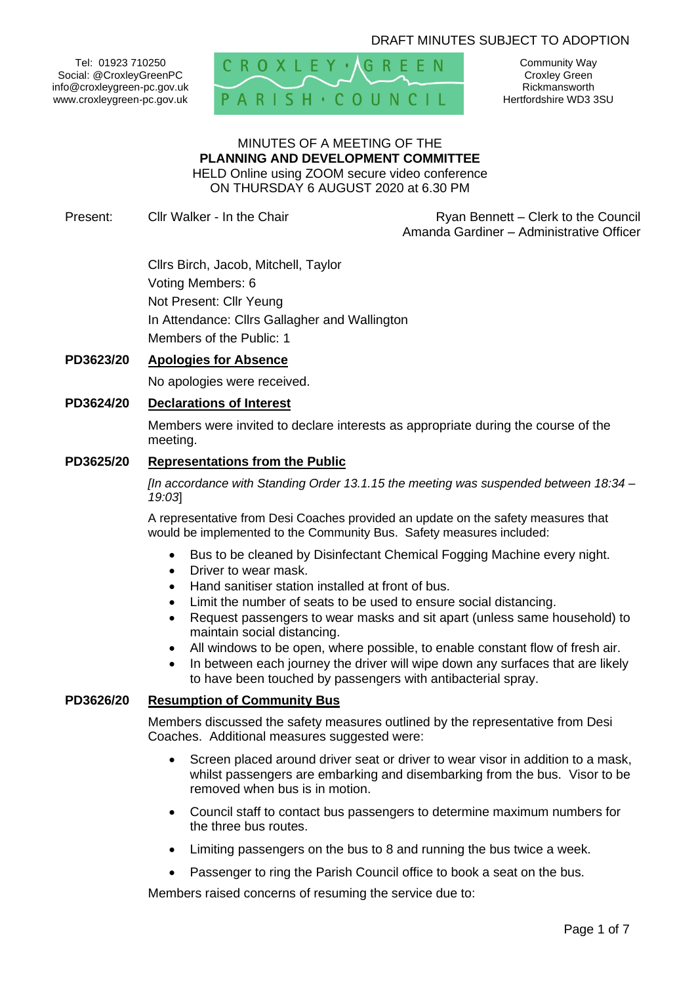# DRAFT MINUTES SUBJECT TO ADOPTION

Tel: 01923 710250 Social: @CroxleyGreenPC info@croxleygreen-pc.gov.uk www.croxleygreen-pc.gov.uk



Community Way Croxley Green Rickmansworth Hertfordshire WD3 3SU

# MINUTES OF A MEETING OF THE **PLANNING AND DEVELOPMENT COMMITTEE** HELD Online using ZOOM secure video conference

ON THURSDAY 6 AUGUST 2020 at 6.30 PM

Present: Cllr Walker - In the Chair **Ryan Bennett** – Clerk to the Council Amanda Gardiner – Administrative Officer

> Cllrs Birch, Jacob, Mitchell, Taylor Voting Members: 6 Not Present: Cllr Yeung In Attendance: Cllrs Gallagher and Wallington Members of the Public: 1

## **PD3623/20 Apologies for Absence**

No apologies were received.

## **PD3624/20 Declarations of Interest**

Members were invited to declare interests as appropriate during the course of the meeting.

#### **PD3625/20 Representations from the Public**

*[In accordance with Standing Order 13.1.15 the meeting was suspended between 18:34 – 19:03*]

A representative from Desi Coaches provided an update on the safety measures that would be implemented to the Community Bus. Safety measures included:

- Bus to be cleaned by Disinfectant Chemical Fogging Machine every night.
- Driver to wear mask.
- Hand sanitiser station installed at front of bus.
- Limit the number of seats to be used to ensure social distancing.
- Request passengers to wear masks and sit apart (unless same household) to maintain social distancing.
- All windows to be open, where possible, to enable constant flow of fresh air.
- In between each journey the driver will wipe down any surfaces that are likely to have been touched by passengers with antibacterial spray.

#### **PD3626/20 Resumption of Community Bus**

Members discussed the safety measures outlined by the representative from Desi Coaches. Additional measures suggested were:

- Screen placed around driver seat or driver to wear visor in addition to a mask, whilst passengers are embarking and disembarking from the bus. Visor to be removed when bus is in motion.
- Council staff to contact bus passengers to determine maximum numbers for the three bus routes.
- Limiting passengers on the bus to 8 and running the bus twice a week.
- Passenger to ring the Parish Council office to book a seat on the bus.

Members raised concerns of resuming the service due to: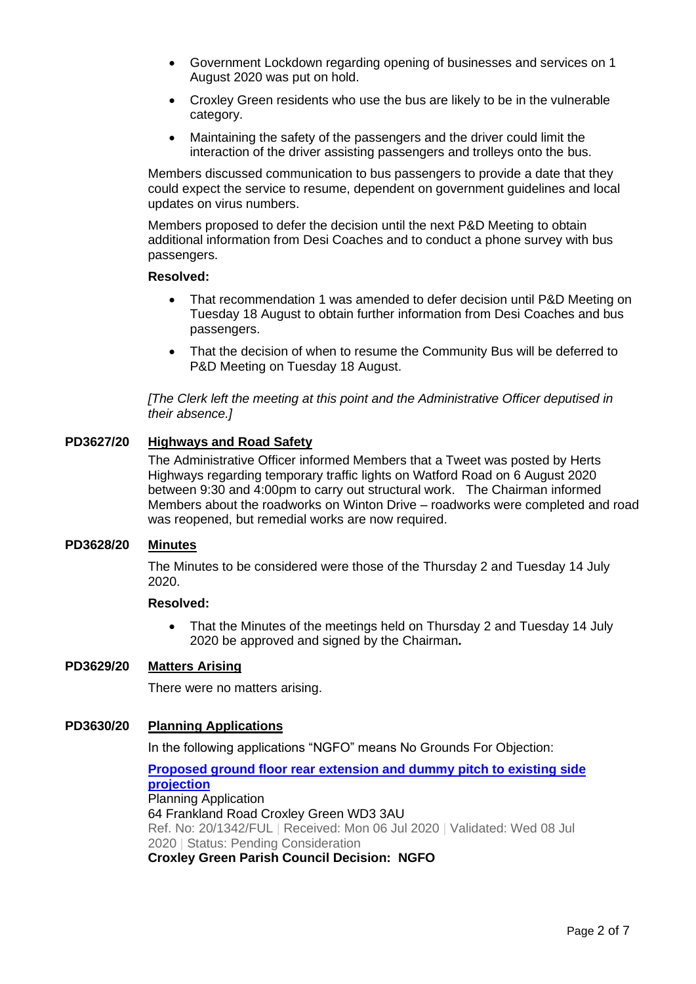- Government Lockdown regarding opening of businesses and services on 1 August 2020 was put on hold.
- Croxley Green residents who use the bus are likely to be in the vulnerable category.
- Maintaining the safety of the passengers and the driver could limit the interaction of the driver assisting passengers and trolleys onto the bus.

Members discussed communication to bus passengers to provide a date that they could expect the service to resume, dependent on government guidelines and local updates on virus numbers.

Members proposed to defer the decision until the next P&D Meeting to obtain additional information from Desi Coaches and to conduct a phone survey with bus passengers.

#### **Resolved:**

- That recommendation 1 was amended to defer decision until P&D Meeting on Tuesday 18 August to obtain further information from Desi Coaches and bus passengers.
- That the decision of when to resume the Community Bus will be deferred to P&D Meeting on Tuesday 18 August.

*[The Clerk left the meeting at this point and the Administrative Officer deputised in their absence.]*

# **PD3627/20 Highways and Road Safety**

The Administrative Officer informed Members that a Tweet was posted by Herts Highways regarding temporary traffic lights on Watford Road on 6 August 2020 between 9:30 and 4:00pm to carry out structural work. The Chairman informed Members about the roadworks on Winton Drive – roadworks were completed and road was reopened, but remedial works are now required.

## **PD3628/20 Minutes**

The Minutes to be considered were those of the Thursday 2 and Tuesday 14 July 2020.

#### **Resolved:**

• That the Minutes of the meetings held on Thursday 2 and Tuesday 14 July 2020 be approved and signed by the Chairman**.**

## **PD3629/20 Matters Arising**

There were no matters arising.

#### **PD3630/20 Planning Applications**

In the following applications "NGFO" means No Grounds For Objection:

**[Proposed ground floor rear extension and dummy pitch to existing side](https://www3.threerivers.gov.uk/online-applications/applicationDetails.do?activeTab=summary&keyVal=QCXNK8QFJN300&prevPage=inTray)  [projection](https://www3.threerivers.gov.uk/online-applications/applicationDetails.do?activeTab=summary&keyVal=QCXNK8QFJN300&prevPage=inTray)** Planning Application 64 Frankland Road Croxley Green WD3 3AU Ref. No: 20/1342/FUL | Received: Mon 06 Jul 2020 | Validated: Wed 08 Jul 2020 | Status: Pending Consideration **Croxley Green Parish Council Decision: NGFO**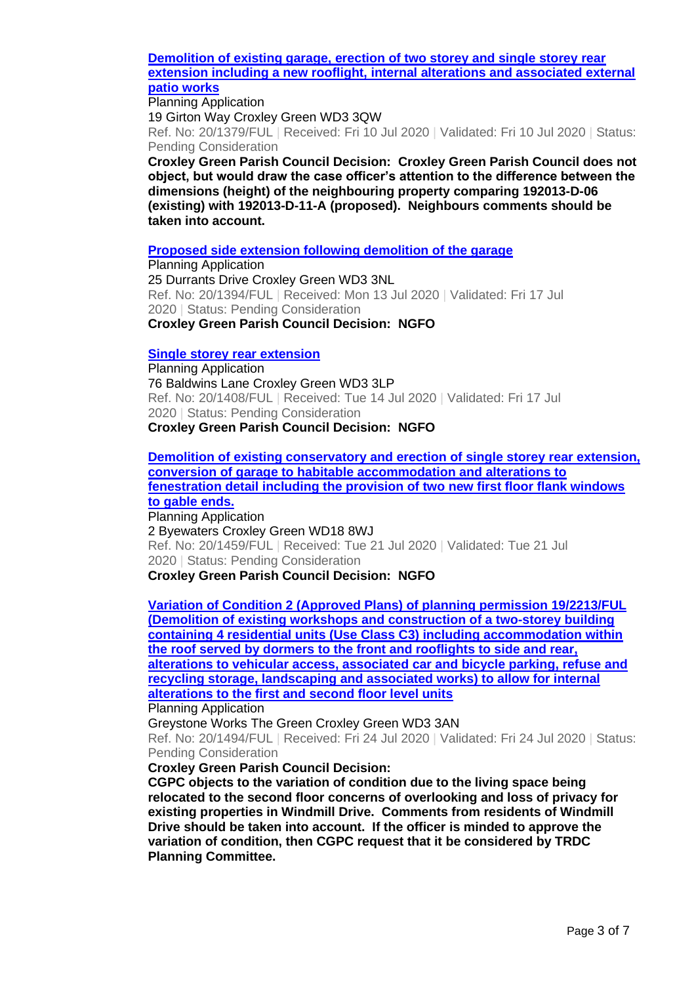### **[Demolition of existing garage, erection of two storey and single storey rear](https://www3.threerivers.gov.uk/online-applications/applicationDetails.do?activeTab=summary&keyVal=QD8RJDQFJP600&prevPage=inTray)  extension including a new rooflight, [internal alterations and associated external](https://www3.threerivers.gov.uk/online-applications/applicationDetails.do?activeTab=summary&keyVal=QD8RJDQFJP600&prevPage=inTray)  [patio works](https://www3.threerivers.gov.uk/online-applications/applicationDetails.do?activeTab=summary&keyVal=QD8RJDQFJP600&prevPage=inTray)**

Planning Application 19 Girton Way Croxley Green WD3 3QW Ref. No: 20/1379/FUL | Received: Fri 10 Jul 2020 | Validated: Fri 10 Jul 2020 | Status: Pending Consideration

**Croxley Green Parish Council Decision: Croxley Green Parish Council does not object, but would draw the case officer's attention to the difference between the dimensions (height) of the neighbouring property comparing 192013-D-06 (existing) with 192013-D-11-A (proposed). Neighbours comments should be taken into account.**

## **[Proposed side extension following demolition of the garage](https://www3.threerivers.gov.uk/online-applications/applicationDetails.do?activeTab=summary&keyVal=QDCRXAQFJQ500&prevPage=inTray)**

Planning Application 25 Durrants Drive Croxley Green WD3 3NL Ref. No: 20/1394/FUL | Received: Mon 13 Jul 2020 | Validated: Fri 17 Jul 2020 | Status: Pending Consideration **Croxley Green Parish Council Decision: NGFO**

#### **[Single storey rear extension](https://www3.threerivers.gov.uk/online-applications/applicationDetails.do?activeTab=summary&keyVal=QDGHALQFJQR00&prevPage=inTray)**

Planning Application 76 Baldwins Lane Croxley Green WD3 3LP Ref. No: 20/1408/FUL | Received: Tue 14 Jul 2020 | Validated: Fri 17 Jul 2020 | Status: Pending Consideration **Croxley Green Parish Council Decision: NGFO**

**[Demolition of existing conservatory and erection of](https://www3.threerivers.gov.uk/online-applications/applicationDetails.do?activeTab=summary&keyVal=QDT4Y5QFJT900&prevPage=inTray) single storey rear extension, [conversion of garage to habitable accommodation and alterations to](https://www3.threerivers.gov.uk/online-applications/applicationDetails.do?activeTab=summary&keyVal=QDT4Y5QFJT900&prevPage=inTray)  [fenestration detail including the provision of two new first floor flank windows](https://www3.threerivers.gov.uk/online-applications/applicationDetails.do?activeTab=summary&keyVal=QDT4Y5QFJT900&prevPage=inTray)  [to gable ends.](https://www3.threerivers.gov.uk/online-applications/applicationDetails.do?activeTab=summary&keyVal=QDT4Y5QFJT900&prevPage=inTray)**

Planning Application 2 Byewaters Croxley Green WD18 8WJ Ref. No: 20/1459/FUL | Received: Tue 21 Jul 2020 | Validated: Tue 21 Jul 2020 | Status: Pending Consideration **Croxley Green Parish Council Decision: NGFO**

**[Variation of Condition 2 \(Approved Plans\) of planning permission 19/2213/FUL](https://www3.threerivers.gov.uk/online-applications/applicationDetails.do?activeTab=summary&keyVal=QDYOWAQFJUW00&prevPage=inTray)  [\(Demolition of existing workshops and construction of a two-storey building](https://www3.threerivers.gov.uk/online-applications/applicationDetails.do?activeTab=summary&keyVal=QDYOWAQFJUW00&prevPage=inTray)  [containing 4 residential units \(Use Class C3\) including accommodation within](https://www3.threerivers.gov.uk/online-applications/applicationDetails.do?activeTab=summary&keyVal=QDYOWAQFJUW00&prevPage=inTray)  [the roof served by dormers to the front and rooflights to side and rear,](https://www3.threerivers.gov.uk/online-applications/applicationDetails.do?activeTab=summary&keyVal=QDYOWAQFJUW00&prevPage=inTray)  [alterations to vehicular access, associated car and bicycle parking, refuse and](https://www3.threerivers.gov.uk/online-applications/applicationDetails.do?activeTab=summary&keyVal=QDYOWAQFJUW00&prevPage=inTray)  [recycling storage, landscaping and associated works\) to allow for internal](https://www3.threerivers.gov.uk/online-applications/applicationDetails.do?activeTab=summary&keyVal=QDYOWAQFJUW00&prevPage=inTray)  [alterations to the first and second floor level units](https://www3.threerivers.gov.uk/online-applications/applicationDetails.do?activeTab=summary&keyVal=QDYOWAQFJUW00&prevPage=inTray)**

Planning Application

Greystone Works The Green Croxley Green WD3 3AN

Ref. No: 20/1494/FUL | Received: Fri 24 Jul 2020 | Validated: Fri 24 Jul 2020 | Status: Pending Consideration

**Croxley Green Parish Council Decision:**

**CGPC objects to the variation of condition due to the living space being relocated to the second floor concerns of overlooking and loss of privacy for existing properties in Windmill Drive. Comments from residents of Windmill Drive should be taken into account. If the officer is minded to approve the variation of condition, then CGPC request that it be considered by TRDC Planning Committee.**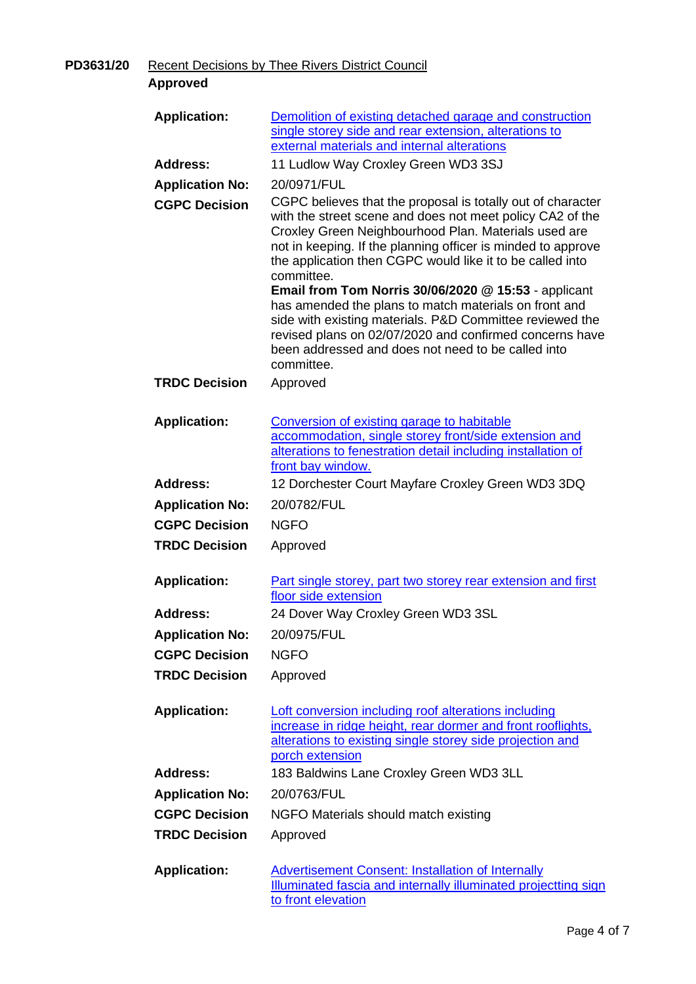**PD3631/20** Recent Decisions by Thee Rivers District Council

| <b>Approved</b>        |                                                                                                                                                                                                                                                                                                                                                                                                                                                                                                                                                                                                                                  |
|------------------------|----------------------------------------------------------------------------------------------------------------------------------------------------------------------------------------------------------------------------------------------------------------------------------------------------------------------------------------------------------------------------------------------------------------------------------------------------------------------------------------------------------------------------------------------------------------------------------------------------------------------------------|
| <b>Application:</b>    | Demolition of existing detached garage and construction<br>single storey side and rear extension, alterations to<br>external materials and internal alterations                                                                                                                                                                                                                                                                                                                                                                                                                                                                  |
| <b>Address:</b>        | 11 Ludlow Way Croxley Green WD3 3SJ                                                                                                                                                                                                                                                                                                                                                                                                                                                                                                                                                                                              |
| <b>Application No:</b> | 20/0971/FUL                                                                                                                                                                                                                                                                                                                                                                                                                                                                                                                                                                                                                      |
| <b>CGPC Decision</b>   | CGPC believes that the proposal is totally out of character<br>with the street scene and does not meet policy CA2 of the<br>Croxley Green Neighbourhood Plan. Materials used are<br>not in keeping. If the planning officer is minded to approve<br>the application then CGPC would like it to be called into<br>committee.<br><b>Email from Tom Norris 30/06/2020 @ 15:53 - applicant</b><br>has amended the plans to match materials on front and<br>side with existing materials. P&D Committee reviewed the<br>revised plans on 02/07/2020 and confirmed concerns have<br>been addressed and does not need to be called into |
| <b>TRDC Decision</b>   | committee.<br>Approved                                                                                                                                                                                                                                                                                                                                                                                                                                                                                                                                                                                                           |
| <b>Application:</b>    | Conversion of existing garage to habitable<br>accommodation, single storey front/side extension and<br>alterations to fenestration detail including installation of<br>front bay window.                                                                                                                                                                                                                                                                                                                                                                                                                                         |
| <b>Address:</b>        | 12 Dorchester Court Mayfare Croxley Green WD3 3DQ                                                                                                                                                                                                                                                                                                                                                                                                                                                                                                                                                                                |
| <b>Application No:</b> | 20/0782/FUL                                                                                                                                                                                                                                                                                                                                                                                                                                                                                                                                                                                                                      |
| <b>CGPC Decision</b>   | <b>NGFO</b>                                                                                                                                                                                                                                                                                                                                                                                                                                                                                                                                                                                                                      |
| <b>TRDC Decision</b>   | Approved                                                                                                                                                                                                                                                                                                                                                                                                                                                                                                                                                                                                                         |
| <b>Application:</b>    | Part single storey, part two storey rear extension and first<br>floor side extension                                                                                                                                                                                                                                                                                                                                                                                                                                                                                                                                             |
| <b>Address:</b>        | 24 Dover Way Croxley Green WD3 3SL                                                                                                                                                                                                                                                                                                                                                                                                                                                                                                                                                                                               |
| <b>Application No:</b> | 20/0975/FUL                                                                                                                                                                                                                                                                                                                                                                                                                                                                                                                                                                                                                      |
| <b>CGPC Decision</b>   | <b>NGFO</b>                                                                                                                                                                                                                                                                                                                                                                                                                                                                                                                                                                                                                      |
| <b>TRDC Decision</b>   | Approved                                                                                                                                                                                                                                                                                                                                                                                                                                                                                                                                                                                                                         |
| <b>Application:</b>    | Loft conversion including roof alterations including<br>increase in ridge height, rear dormer and front rooflights,<br>alterations to existing single storey side projection and<br>porch extension                                                                                                                                                                                                                                                                                                                                                                                                                              |
| <b>Address:</b>        | 183 Baldwins Lane Croxley Green WD3 3LL                                                                                                                                                                                                                                                                                                                                                                                                                                                                                                                                                                                          |
| <b>Application No:</b> | 20/0763/FUL                                                                                                                                                                                                                                                                                                                                                                                                                                                                                                                                                                                                                      |
| <b>CGPC Decision</b>   | NGFO Materials should match existing                                                                                                                                                                                                                                                                                                                                                                                                                                                                                                                                                                                             |
| <b>TRDC Decision</b>   | Approved                                                                                                                                                                                                                                                                                                                                                                                                                                                                                                                                                                                                                         |
| <b>Application:</b>    | <b>Advertisement Consent: Installation of Internally</b><br>Illuminated fascia and internally illuminated projectting sign<br>to front elevation                                                                                                                                                                                                                                                                                                                                                                                                                                                                                 |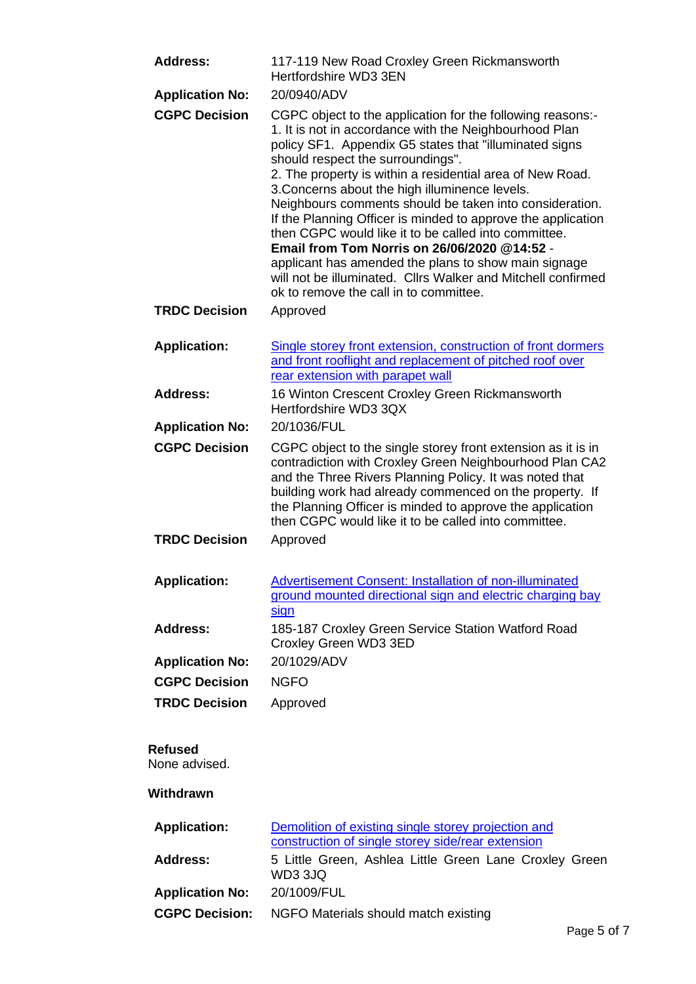| <b>Address:</b>                 | 117-119 New Road Croxley Green Rickmansworth<br>Hertfordshire WD3 3EN                                                                                                                                                                                                                                                                                                                                                                                                                                                                                                                                                                                                                                                                   |
|---------------------------------|-----------------------------------------------------------------------------------------------------------------------------------------------------------------------------------------------------------------------------------------------------------------------------------------------------------------------------------------------------------------------------------------------------------------------------------------------------------------------------------------------------------------------------------------------------------------------------------------------------------------------------------------------------------------------------------------------------------------------------------------|
| <b>Application No:</b>          | 20/0940/ADV                                                                                                                                                                                                                                                                                                                                                                                                                                                                                                                                                                                                                                                                                                                             |
| <b>CGPC Decision</b>            | CGPC object to the application for the following reasons:-<br>1. It is not in accordance with the Neighbourhood Plan<br>policy SF1. Appendix G5 states that "illuminated signs<br>should respect the surroundings".<br>2. The property is within a residential area of New Road.<br>3. Concerns about the high illuminence levels.<br>Neighbours comments should be taken into consideration.<br>If the Planning Officer is minded to approve the application<br>then CGPC would like it to be called into committee.<br>Email from Tom Norris on 26/06/2020 @14:52 -<br>applicant has amended the plans to show main signage<br>will not be illuminated. Cllrs Walker and Mitchell confirmed<br>ok to remove the call in to committee. |
| <b>TRDC Decision</b>            | Approved                                                                                                                                                                                                                                                                                                                                                                                                                                                                                                                                                                                                                                                                                                                                |
| <b>Application:</b>             | Single storey front extension, construction of front dormers<br>and front rooflight and replacement of pitched roof over<br>rear extension with parapet wall                                                                                                                                                                                                                                                                                                                                                                                                                                                                                                                                                                            |
| <b>Address:</b>                 | 16 Winton Crescent Croxley Green Rickmansworth<br>Hertfordshire WD3 3QX                                                                                                                                                                                                                                                                                                                                                                                                                                                                                                                                                                                                                                                                 |
| <b>Application No:</b>          | 20/1036/FUL                                                                                                                                                                                                                                                                                                                                                                                                                                                                                                                                                                                                                                                                                                                             |
| <b>CGPC Decision</b>            | CGPC object to the single storey front extension as it is in<br>contradiction with Croxley Green Neighbourhood Plan CA2<br>and the Three Rivers Planning Policy. It was noted that<br>building work had already commenced on the property. If<br>the Planning Officer is minded to approve the application<br>then CGPC would like it to be called into committee.                                                                                                                                                                                                                                                                                                                                                                      |
| <b>TRDC Decision</b>            | Approved                                                                                                                                                                                                                                                                                                                                                                                                                                                                                                                                                                                                                                                                                                                                |
| <b>Application:</b>             | <b>Advertisement Consent: Installation of non-illuminated</b><br>ground mounted directional sign and electric charging bay<br><u>sign</u>                                                                                                                                                                                                                                                                                                                                                                                                                                                                                                                                                                                               |
| <b>Address:</b>                 | 185-187 Croxley Green Service Station Watford Road<br>Croxley Green WD3 3ED                                                                                                                                                                                                                                                                                                                                                                                                                                                                                                                                                                                                                                                             |
| <b>Application No:</b>          | 20/1029/ADV                                                                                                                                                                                                                                                                                                                                                                                                                                                                                                                                                                                                                                                                                                                             |
| <b>CGPC Decision</b>            | <b>NGFO</b>                                                                                                                                                                                                                                                                                                                                                                                                                                                                                                                                                                                                                                                                                                                             |
| <b>TRDC Decision</b>            | Approved                                                                                                                                                                                                                                                                                                                                                                                                                                                                                                                                                                                                                                                                                                                                |
| <b>Refused</b><br>None advised. |                                                                                                                                                                                                                                                                                                                                                                                                                                                                                                                                                                                                                                                                                                                                         |
| Withdrawn                       |                                                                                                                                                                                                                                                                                                                                                                                                                                                                                                                                                                                                                                                                                                                                         |
| <b>Application:</b>             | Demolition of existing single storey projection and<br>construction of single storey side/rear extension                                                                                                                                                                                                                                                                                                                                                                                                                                                                                                                                                                                                                                |
| <b>Address:</b>                 | 5 Little Green, Ashlea Little Green Lane Croxley Green<br>WD3 3JQ                                                                                                                                                                                                                                                                                                                                                                                                                                                                                                                                                                                                                                                                       |
| <b>Application No:</b>          | 20/1009/FUL                                                                                                                                                                                                                                                                                                                                                                                                                                                                                                                                                                                                                                                                                                                             |

**CGPC Decision:** NGFO Materials should match existing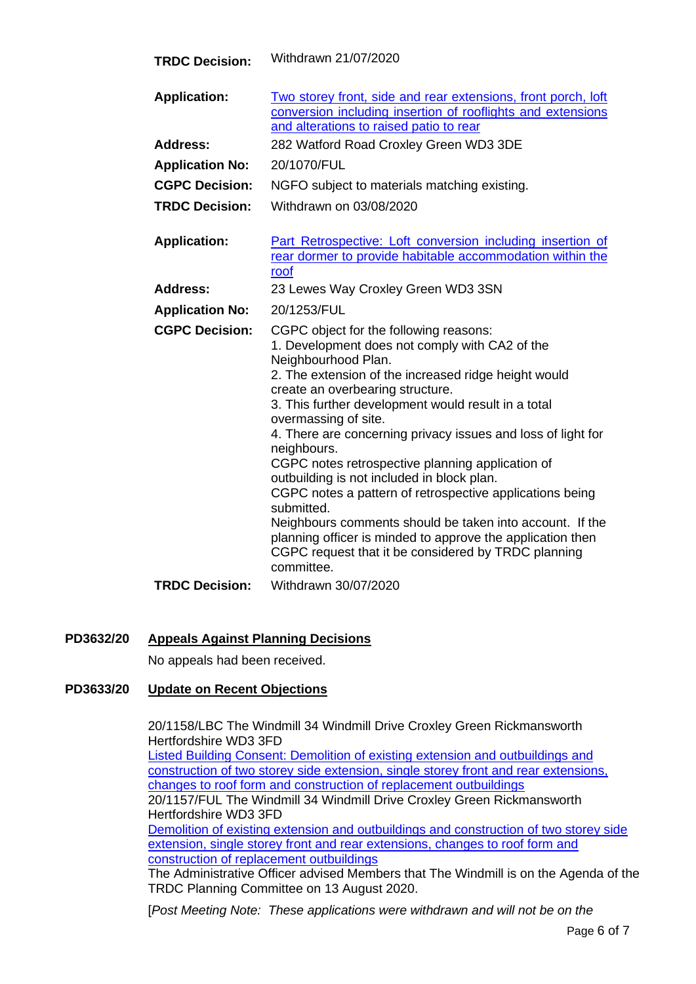| <b>TRDC Decision:</b>  | Withdrawn 21/07/2020                                                                                                                                                                                                                                                                                                                                                                                                                                                                                                                                                                                                                                                                                                                                 |
|------------------------|------------------------------------------------------------------------------------------------------------------------------------------------------------------------------------------------------------------------------------------------------------------------------------------------------------------------------------------------------------------------------------------------------------------------------------------------------------------------------------------------------------------------------------------------------------------------------------------------------------------------------------------------------------------------------------------------------------------------------------------------------|
| <b>Application:</b>    | Two storey front, side and rear extensions, front porch, loft<br>conversion including insertion of rooflights and extensions<br>and alterations to raised patio to rear                                                                                                                                                                                                                                                                                                                                                                                                                                                                                                                                                                              |
| <b>Address:</b>        | 282 Watford Road Croxley Green WD3 3DE                                                                                                                                                                                                                                                                                                                                                                                                                                                                                                                                                                                                                                                                                                               |
| <b>Application No:</b> | 20/1070/FUL                                                                                                                                                                                                                                                                                                                                                                                                                                                                                                                                                                                                                                                                                                                                          |
| <b>CGPC Decision:</b>  | NGFO subject to materials matching existing.                                                                                                                                                                                                                                                                                                                                                                                                                                                                                                                                                                                                                                                                                                         |
| <b>TRDC Decision:</b>  | Withdrawn on 03/08/2020                                                                                                                                                                                                                                                                                                                                                                                                                                                                                                                                                                                                                                                                                                                              |
| <b>Application:</b>    | Part Retrospective: Loft conversion including insertion of<br>rear dormer to provide habitable accommodation within the<br>roof                                                                                                                                                                                                                                                                                                                                                                                                                                                                                                                                                                                                                      |
| <b>Address:</b>        | 23 Lewes Way Croxley Green WD3 3SN                                                                                                                                                                                                                                                                                                                                                                                                                                                                                                                                                                                                                                                                                                                   |
| <b>Application No:</b> | 20/1253/FUL                                                                                                                                                                                                                                                                                                                                                                                                                                                                                                                                                                                                                                                                                                                                          |
| <b>CGPC Decision:</b>  | CGPC object for the following reasons:<br>1. Development does not comply with CA2 of the<br>Neighbourhood Plan.<br>2. The extension of the increased ridge height would<br>create an overbearing structure.<br>3. This further development would result in a total<br>overmassing of site.<br>4. There are concerning privacy issues and loss of light for<br>neighbours.<br>CGPC notes retrospective planning application of<br>outbuilding is not included in block plan.<br>CGPC notes a pattern of retrospective applications being<br>submitted.<br>Neighbours comments should be taken into account. If the<br>planning officer is minded to approve the application then<br>CGPC request that it be considered by TRDC planning<br>committee. |
| <b>TRDC Decision:</b>  | Withdrawn 30/07/2020                                                                                                                                                                                                                                                                                                                                                                                                                                                                                                                                                                                                                                                                                                                                 |

**PD3632/20 Appeals Against Planning Decisions**

No appeals had been received.

## **PD3633/20 Update on Recent Objections**

20/1158/LBC The Windmill 34 Windmill Drive Croxley Green Rickmansworth Hertfordshire WD3 3FD [Listed Building Consent: Demolition of existing extension and outbuildings and](https://www3.threerivers.gov.uk/online-applications/applicationDetails.do?activeTab=summary&keyVal=QBYUYXQF0D100&prevPage=inTray)  [construction of two storey side extension, single storey front and rear extensions,](https://www3.threerivers.gov.uk/online-applications/applicationDetails.do?activeTab=summary&keyVal=QBYUYXQF0D100&prevPage=inTray)  [changes to roof form and construction of replacement outbuildings](https://www3.threerivers.gov.uk/online-applications/applicationDetails.do?activeTab=summary&keyVal=QBYUYXQF0D100&prevPage=inTray)

20/1157/FUL The Windmill 34 Windmill Drive Croxley Green Rickmansworth Hertfordshire WD3 3FD

[Demolition of existing extension and outbuildings and construction of two storey side](https://www3.threerivers.gov.uk/online-applications/applicationDetails.do?activeTab=summary&keyVal=QBYUVFQF0D100&prevPage=inTray)  [extension, single storey front and rear extensions, changes to roof form and](https://www3.threerivers.gov.uk/online-applications/applicationDetails.do?activeTab=summary&keyVal=QBYUVFQF0D100&prevPage=inTray)  [construction of replacement outbuildings](https://www3.threerivers.gov.uk/online-applications/applicationDetails.do?activeTab=summary&keyVal=QBYUVFQF0D100&prevPage=inTray)

The Administrative Officer advised Members that The Windmill is on the Agenda of the TRDC Planning Committee on 13 August 2020.

[*Post Meeting Note: These applications were withdrawn and will not be on the*